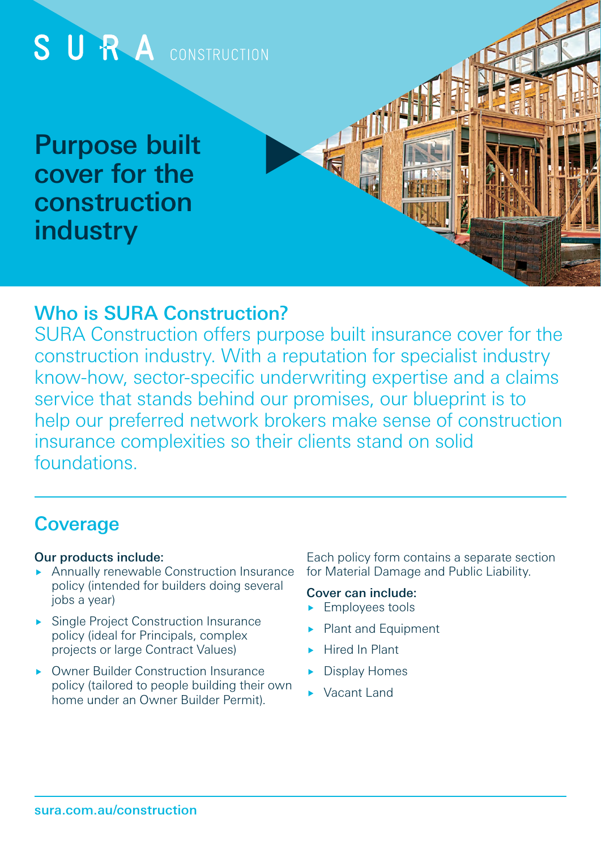

## Who is SURA Construction?

SURA Construction offers purpose built insurance cover for the construction industry. With a reputation for specialist industry know-how, sector-specific underwriting expertise and a claims service that stands behind our promises, our blueprint is to help our preferred network brokers make sense of construction insurance complexities so their clients stand on solid foundations.

# **Coverage**

#### Our products include:

- Annually renewable Construction Insurance policy (intended for builders doing several jobs a year)
- **Single Project Construction Insurance** policy (ideal for Principals, complex projects or large Contract Values)
- ▶ Owner Builder Construction Insurance policy (tailored to people building their own home under an Owner Builder Permit).

Each policy form contains a separate section for Material Damage and Public Liability.

#### Cover can include:

- **Employees tools**
- Plant and Equipment
- Hired In Plant
- Display Homes
- Vacant Land